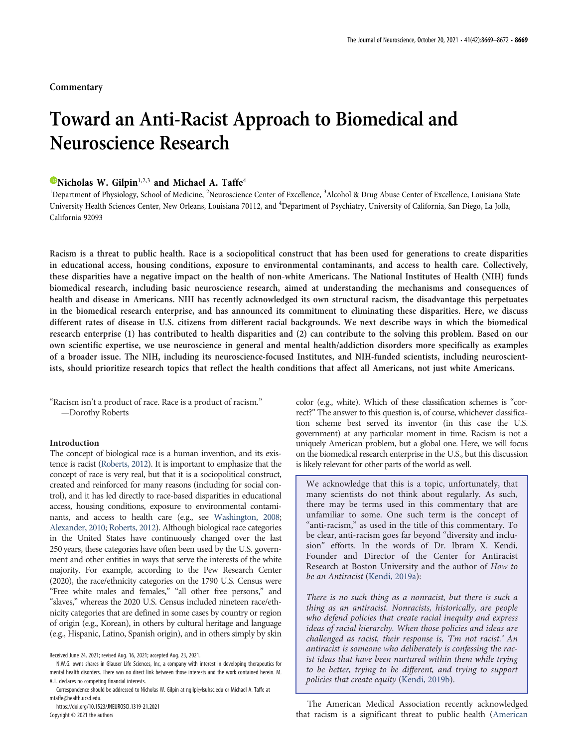## **Commentary**

# Toward an Anti-Racist Approach to Biomedical and Neuroscience Research

## $\bullet$ Nicholas W. Gilpin<sup>1,2,3</sup> and Michael A. Taffe<sup>4</sup>

<sup>1</sup>Department of Physiology, School of Medicine, <sup>2</sup>Neuroscience Center of Excellence, <sup>3</sup>Alcohol & Drug Abuse Center of Excellence, Louisiana State University Health Sciences Center, New Orleans, Louisiana 70112, and <sup>4</sup>Department of Psychiatry, University of California, San Diego, La Jolla, California 92093

Racism is a threat to public health. Race is a sociopolitical construct that has been used for generations to create disparities in educational access, housing conditions, exposure to environmental contaminants, and access to health care. Collectively, these disparities have a negative impact on the health of non-white Americans. The National Institutes of Health (NIH) funds biomedical research, including basic neuroscience research, aimed at understanding the mechanisms and consequences of health and disease in Americans. NIH has recently acknowledged its own structural racism, the disadvantage this perpetuates in the biomedical research enterprise, and has announced its commitment to eliminating these disparities. Here, we discuss different rates of disease in U.S. citizens from different racial backgrounds. We next describe ways in which the biomedical research enterprise (1) has contributed to health disparities and (2) can contribute to the solving this problem. Based on our own scientific expertise, we use neuroscience in general and mental health/addiction disorders more specifically as examples of a broader issue. The NIH, including its neuroscience-focused Institutes, and NIH-funded scientists, including neuroscientists, should prioritize research topics that reflect the health conditions that affect all Americans, not just white Americans.

"Racism isn't a product of race. Race is a product of racism." —Dorothy Roberts

#### Introduction

The concept of biological race is a human invention, and its existence is racist (Roberts, 2012). It is important to emphasize that the concept of race is very real, but that it is a sociopolitical construct, created and reinforced for many reasons (including for social control), and it has led directly to race-based disparities in educational access, housing conditions, exposure to environmental contaminants, and access to health care (e.g., see Washington, 2008; Alexander, 2010; Roberts, 2012). Although biological race categories in the United States have continuously changed over the last 250 years, these categories have often been used by the U.S. government and other entities in ways that serve the interests of the white majority. For example, according to the Pew Research Center (2020), the race/ethnicity categories on the 1790 U.S. Census were "Free white males and females," "all other free persons," and "slaves," whereas the 2020 U.S. Census included nineteen race/ethnicity categories that are defined in some cases by country or region of origin (e.g., Korean), in others by cultural heritage and language (e.g., Hispanic, Latino, Spanish origin), and in others simply by skin

https://doi.org/10.1523/JNEUROSCI.1319-21.2021

Copyright © 2021 the authors

color (e.g., white). Which of these classification schemes is "correct?" The answer to this question is, of course, whichever classification scheme best served its inventor (in this case the U.S. government) at any particular moment in time. Racism is not a uniquely American problem, but a global one. Here, we will focus on the biomedical research enterprise in the U.S., but this discussion is likely relevant for other parts of the world as well.

We acknowledge that this is a topic, unfortunately, that many scientists do not think about regularly. As such, there may be terms used in this commentary that are unfamiliar to some. One such term is the concept of "anti-racism," as used in the title of this commentary. To be clear, anti-racism goes far beyond "diversity and inclusion" efforts. In the words of Dr. Ibram X. Kendi, Founder and Director of the Center for Antiracist Research at Boston University and the author of How to be an Antiracist (Kendi, 2019a):

There is no such thing as a nonracist, but there is such a thing as an antiracist. Nonracists, historically, are people who defend policies that create racial inequity and express ideas of racial hierarchy. When those policies and ideas are challenged as racist, their response is, 'I'm not racist.' An antiracist is someone who deliberately is confessing the racist ideas that have been nurtured within them while trying to be better, trying to be different, and trying to support policies that create equity (Kendi, 2019b).

The American Medical Association recently acknowledged that racism is a significant threat to public health (American

Received June 24, 2021; revised Aug. 16, 2021; accepted Aug. 23, 2021.

N.W.G. owns shares in Glauser Life Sciences, Inc, a company with interest in developing therapeutics for mental health disorders. There was no direct link between those interests and the work contained herein. M. A.T. declares no competing financial interests.

Correspondence should be addressed to Nicholas W. Gilpin at ngilpi@lsuhsc.edu or Michael A. Taffe at mtaffe@health.ucsd.edu.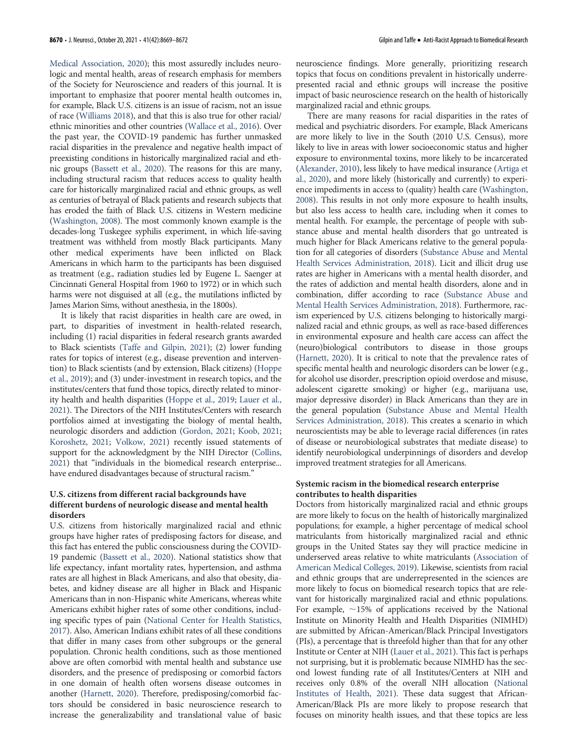Medical Association, 2020); this most assuredly includes neurologic and mental health, areas of research emphasis for members of the Society for Neuroscience and readers of this journal. It is important to emphasize that poorer mental health outcomes in, for example, Black U.S. citizens is an issue of racism, not an issue of race (Williams 2018), and that this is also true for other racial/ ethnic minorities and other countries (Wallace et al., 2016). Over the past year, the COVID-19 pandemic has further unmasked racial disparities in the prevalence and negative health impact of preexisting conditions in historically marginalized racial and ethnic groups (Bassett et al., 2020). The reasons for this are many, including structural racism that reduces access to quality health care for historically marginalized racial and ethnic groups, as well as centuries of betrayal of Black patients and research subjects that has eroded the faith of Black U.S. citizens in Western medicine (Washington, 2008). The most commonly known example is the decades-long Tuskegee syphilis experiment, in which life-saving treatment was withheld from mostly Black participants. Many other medical experiments have been inflicted on Black Americans in which harm to the participants has been disguised as treatment (e.g., radiation studies led by Eugene L. Saenger at Cincinnati General Hospital from 1960 to 1972) or in which such harms were not disguised at all (e.g., the mutilations inflicted by James Marion Sims, without anesthesia, in the 1800s).

It is likely that racist disparities in health care are owed, in part, to disparities of investment in health-related research, including (1) racial disparities in federal research grants awarded to Black scientists (Taffe and Gilpin, 2021); (2) lower funding rates for topics of interest (e.g., disease prevention and intervention) to Black scientists (and by extension, Black citizens) (Hoppe et al., 2019); and (3) under-investment in research topics, and the institutes/centers that fund those topics, directly related to minority health and health disparities (Hoppe et al., 2019; Lauer et al., 2021). The Directors of the NIH Institutes/Centers with research portfolios aimed at investigating the biology of mental health, neurologic disorders and addiction (Gordon, 2021; Koob, 2021; Koroshetz, 2021; Volkow, 2021) recently issued statements of support for the acknowledgment by the NIH Director (Collins, 2021) that "individuals in the biomedical research enterprise... have endured disadvantages because of structural racism."

#### U.S. citizens from different racial backgrounds have different burdens of neurologic disease and mental health disorders

U.S. citizens from historically marginalized racial and ethnic groups have higher rates of predisposing factors for disease, and this fact has entered the public consciousness during the COVID-19 pandemic (Bassett et al., 2020). National statistics show that life expectancy, infant mortality rates, hypertension, and asthma rates are all highest in Black Americans, and also that obesity, diabetes, and kidney disease are all higher in Black and Hispanic Americans than in non-Hispanic white Americans, whereas white Americans exhibit higher rates of some other conditions, including specific types of pain (National Center for Health Statistics, 2017). Also, American Indians exhibit rates of all these conditions that differ in many cases from other subgroups or the general population. Chronic health conditions, such as those mentioned above are often comorbid with mental health and substance use disorders, and the presence of predisposing or comorbid factors in one domain of health often worsens disease outcomes in another (Harnett, 2020). Therefore, predisposing/comorbid factors should be considered in basic neuroscience research to increase the generalizability and translational value of basic

neuroscience findings. More generally, prioritizing research topics that focus on conditions prevalent in historically underrepresented racial and ethnic groups will increase the positive impact of basic neuroscience research on the health of historically marginalized racial and ethnic groups.

There are many reasons for racial disparities in the rates of medical and psychiatric disorders. For example, Black Americans are more likely to live in the South (2010 U.S. Census), more likely to live in areas with lower socioeconomic status and higher exposure to environmental toxins, more likely to be incarcerated (Alexander, 2010), less likely to have medical insurance (Artiga et al., 2020), and more likely (historically and currently) to experience impediments in access to (quality) health care (Washington, 2008). This results in not only more exposure to health insults, but also less access to health care, including when it comes to mental health. For example, the percentage of people with substance abuse and mental health disorders that go untreated is much higher for Black Americans relative to the general population for all categories of disorders (Substance Abuse and Mental Health Services Administration, 2018). Licit and illicit drug use rates are higher in Americans with a mental health disorder, and the rates of addiction and mental health disorders, alone and in combination, differ according to race (Substance Abuse and Mental Health Services Administration, 2018). Furthermore, racism experienced by U.S. citizens belonging to historically marginalized racial and ethnic groups, as well as race-based differences in environmental exposure and health care access can affect the (neuro)biological contributors to disease in those groups (Harnett, 2020). It is critical to note that the prevalence rates of specific mental health and neurologic disorders can be lower (e.g., for alcohol use disorder, prescription opioid overdose and misuse, adolescent cigarette smoking) or higher (e.g., marijuana use, major depressive disorder) in Black Americans than they are in the general population (Substance Abuse and Mental Health Services Administration, 2018). This creates a scenario in which neuroscientists may be able to leverage racial differences (in rates of disease or neurobiological substrates that mediate disease) to identify neurobiological underpinnings of disorders and develop improved treatment strategies for all Americans.

#### Systemic racism in the biomedical research enterprise contributes to health disparities

Doctors from historically marginalized racial and ethnic groups are more likely to focus on the health of historically marginalized populations; for example, a higher percentage of medical school matriculants from historically marginalized racial and ethnic groups in the United States say they will practice medicine in underserved areas relative to white matriculants (Association of American Medical Colleges, 2019). Likewise, scientists from racial and ethnic groups that are underrepresented in the sciences are more likely to focus on biomedical research topics that are relevant for historically marginalized racial and ethnic populations. For example,  $\sim$ 15% of applications received by the National Institute on Minority Health and Health Disparities (NIMHD) are submitted by African-American/Black Principal Investigators (PIs), a percentage that is threefold higher than that for any other Institute or Center at NIH (Lauer et al., 2021). This fact is perhaps not surprising, but it is problematic because NIMHD has the second lowest funding rate of all Institutes/Centers at NIH and receives only 0.8% of the overall NIH allocation (National Institutes of Health, 2021). These data suggest that African-American/Black PIs are more likely to propose research that focuses on minority health issues, and that these topics are less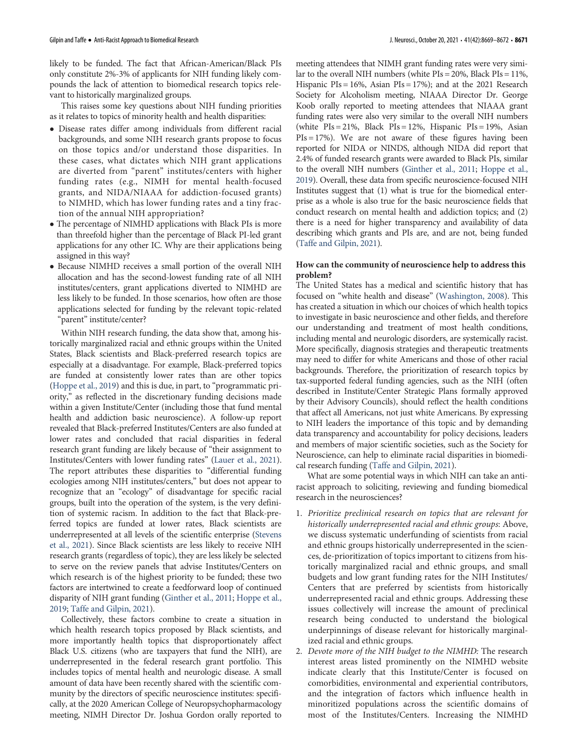likely to be funded. The fact that African-American/Black PIs only constitute 2%-3% of applicants for NIH funding likely compounds the lack of attention to biomedical research topics relevant to historically marginalized groups.

This raises some key questions about NIH funding priorities as it relates to topics of minority health and health disparities:

- ! Disease rates differ among individuals from different racial backgrounds, and some NIH research grants propose to focus on those topics and/or understand those disparities. In these cases, what dictates which NIH grant applications are diverted from "parent" institutes/centers with higher funding rates (e.g., NIMH for mental health-focused grants, and NIDA/NIAAA for addiction-focused grants) to NIMHD, which has lower funding rates and a tiny fraction of the annual NIH appropriation?
- The percentage of NIMHD applications with Black PIs is more than threefold higher than the percentage of Black PI-led grant applications for any other IC. Why are their applications being assigned in this way?
- ! Because NIMHD receives a small portion of the overall NIH allocation and has the second-lowest funding rate of all NIH institutes/centers, grant applications diverted to NIMHD are less likely to be funded. In those scenarios, how often are those applications selected for funding by the relevant topic-related "parent" institute/center?

Within NIH research funding, the data show that, among historically marginalized racial and ethnic groups within the United States, Black scientists and Black-preferred research topics are especially at a disadvantage. For example, Black-preferred topics are funded at consistently lower rates than are other topics (Hoppe et al., 2019) and this is due, in part, to "programmatic priority," as reflected in the discretionary funding decisions made within a given Institute/Center (including those that fund mental health and addiction basic neuroscience). A follow-up report revealed that Black-preferred Institutes/Centers are also funded at lower rates and concluded that racial disparities in federal research grant funding are likely because of "their assignment to Institutes/Centers with lower funding rates" (Lauer et al., 2021). The report attributes these disparities to "differential funding ecologies among NIH institutes/centers," but does not appear to recognize that an "ecology" of disadvantage for specific racial groups, built into the operation of the system, is the very definition of systemic racism. In addition to the fact that Black-preferred topics are funded at lower rates, Black scientists are underrepresented at all levels of the scientific enterprise (Stevens et al., 2021). Since Black scientists are less likely to receive NIH research grants (regardless of topic), they are less likely be selected to serve on the review panels that advise Institutes/Centers on which research is of the highest priority to be funded; these two factors are intertwined to create a feedforward loop of continued disparity of NIH grant funding (Ginther et al., 2011; Hoppe et al., 2019; Taffe and Gilpin, 2021).

Collectively, these factors combine to create a situation in which health research topics proposed by Black scientists, and more importantly health topics that disproportionately affect Black U.S. citizens (who are taxpayers that fund the NIH), are underrepresented in the federal research grant portfolio. This includes topics of mental health and neurologic disease. A small amount of data have been recently shared with the scientific community by the directors of specific neuroscience institutes: specifically, at the 2020 American College of Neuropsychopharmacology meeting, NIMH Director Dr. Joshua Gordon orally reported to

meeting attendees that NIMH grant funding rates were very similar to the overall NIH numbers (white PIs = 20%, Black PIs = 11%, Hispanic PIs = 16%, Asian PIs = 17%); and at the 2021 Research Society for Alcoholism meeting, NIAAA Director Dr. George Koob orally reported to meeting attendees that NIAAA grant funding rates were also very similar to the overall NIH numbers (white  $PIs = 21\%$ , Black  $PIs = 12\%$ , Hispanic  $PIs = 19\%$ , Asian  $PIs = 17\%$ ). We are not aware of these figures having been reported for NIDA or NINDS, although NIDA did report that 2.4% of funded research grants were awarded to Black PIs, similar to the overall NIH numbers (Ginther et al., 2011; Hoppe et al., 2019). Overall, these data from specific neuroscience-focused NIH Institutes suggest that (1) what is true for the biomedical enterprise as a whole is also true for the basic neuroscience fields that conduct research on mental health and addiction topics; and (2) there is a need for higher transparency and availability of data describing which grants and PIs are, and are not, being funded (Taffe and Gilpin, 2021).

### How can the community of neuroscience help to address this problem?

The United States has a medical and scientific history that has focused on "white health and disease" (Washington, 2008). This has created a situation in which our choices of which health topics to investigate in basic neuroscience and other fields, and therefore our understanding and treatment of most health conditions, including mental and neurologic disorders, are systemically racist. More specifically, diagnosis strategies and therapeutic treatments may need to differ for white Americans and those of other racial backgrounds. Therefore, the prioritization of research topics by tax-supported federal funding agencies, such as the NIH (often described in Institute/Center Strategic Plans formally approved by their Advisory Councils), should reflect the health conditions that affect all Americans, not just white Americans. By expressing to NIH leaders the importance of this topic and by demanding data transparency and accountability for policy decisions, leaders and members of major scientific societies, such as the Society for Neuroscience, can help to eliminate racial disparities in biomedical research funding (Taffe and Gilpin, 2021).

What are some potential ways in which NIH can take an antiracist approach to soliciting, reviewing and funding biomedical research in the neurosciences?

- 1. Prioritize preclinical research on topics that are relevant for historically underrepresented racial and ethnic groups: Above, we discuss systematic underfunding of scientists from racial and ethnic groups historically underrepresented in the sciences, de-prioritization of topics important to citizens from historically marginalized racial and ethnic groups, and small budgets and low grant funding rates for the NIH Institutes/ Centers that are preferred by scientists from historically underrepresented racial and ethnic groups. Addressing these issues collectively will increase the amount of preclinical research being conducted to understand the biological underpinnings of disease relevant for historically marginalized racial and ethnic groups.
- 2. Devote more of the NIH budget to the NIMHD: The research interest areas listed prominently on the NIMHD website indicate clearly that this Institute/Center is focused on comorbidities, environmental and experiential contributors, and the integration of factors which influence health in minoritized populations across the scientific domains of most of the Institutes/Centers. Increasing the NIMHD